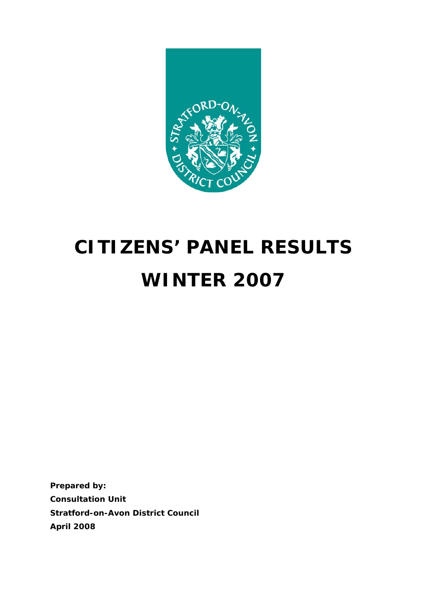

# **CITIZENS' PANEL RESULTS WINTER 2007**

**Prepared by: Consultation Unit Stratford-on-Avon District Council April 2008**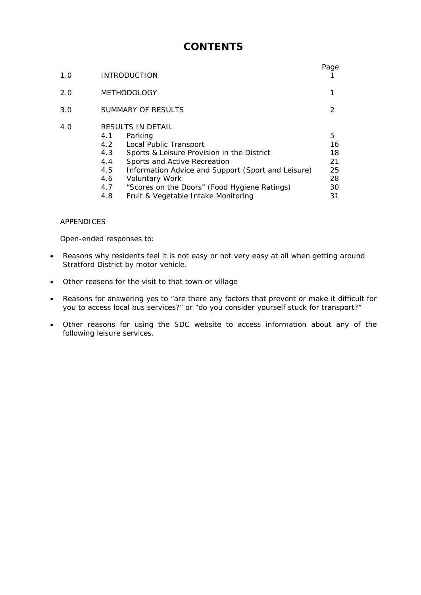# **CONTENTS**

| 1.0 | <b>INTRODUCTION</b>                                                                                                                                                                                                                                                                                                                                                | Page                                        |
|-----|--------------------------------------------------------------------------------------------------------------------------------------------------------------------------------------------------------------------------------------------------------------------------------------------------------------------------------------------------------------------|---------------------------------------------|
| 2.0 | <b>METHODOLOGY</b>                                                                                                                                                                                                                                                                                                                                                 | 1                                           |
| 3.0 | SUMMARY OF RESULTS                                                                                                                                                                                                                                                                                                                                                 | $\mathcal{P}$                               |
| 4.0 | RESULTS IN DETAIL<br>4.1<br>Parking<br>4.2<br>Local Public Transport<br>4.3<br>Sports & Leisure Provision in the District<br>4.4<br>Sports and Active Recreation<br>4.5<br>Information Advice and Support (Sport and Leisure)<br>4.6<br><b>Voluntary Work</b><br>"Scores on the Doors" (Food Hygiene Ratings)<br>4.7<br>Fruit & Vegetable Intake Monitoring<br>4.8 | 5<br>16<br>18<br>21<br>25<br>28<br>30<br>31 |

#### APPENDICES

Open-ended responses to:

- Reasons why residents feel it is not easy or not very easy at all when getting around Stratford District by motor vehicle.
- Other reasons for the visit to that town or village
- Reasons for answering yes to "are there any factors that prevent or make it difficult for you to access local bus services?" or "do you consider yourself stuck for transport?"
- Other reasons for using the SDC website to access information about any of the following leisure services.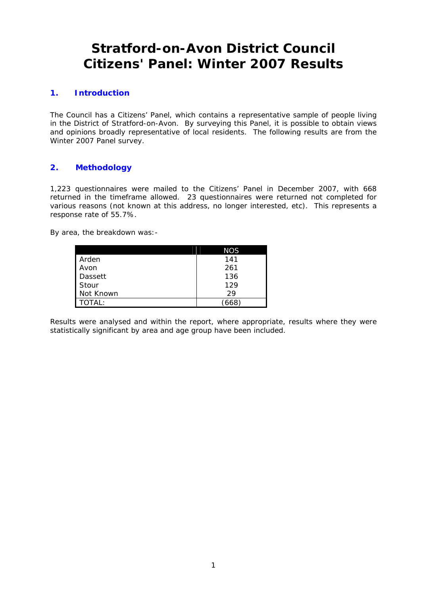# **Stratford-on-Avon District Council Citizens' Panel: Winter 2007 Results**

# **1. Introduction**

The Council has a Citizens' Panel, which contains a representative sample of people living in the District of Stratford-on-Avon. By surveying this Panel, it is possible to obtain views and opinions broadly representative of local residents. The following results are from the Winter 2007 Panel survey.

# **2. Methodology**

1,223 questionnaires were mailed to the Citizens' Panel in December 2007, with 668 returned in the timeframe allowed. 23 questionnaires were returned not completed for various reasons (not known at this address, no longer interested, etc). This represents a response rate of 55.7%.

By area, the breakdown was:-

|           | <b>NOS</b> |
|-----------|------------|
| Arden     | 141        |
| Avon      | 261        |
| Dassett   | 136        |
| Stour     | 129        |
| Not Known | 29         |
| TOTAL:    |            |

Results were analysed and within the report, where appropriate, results where they were statistically significant by area and age group have been included.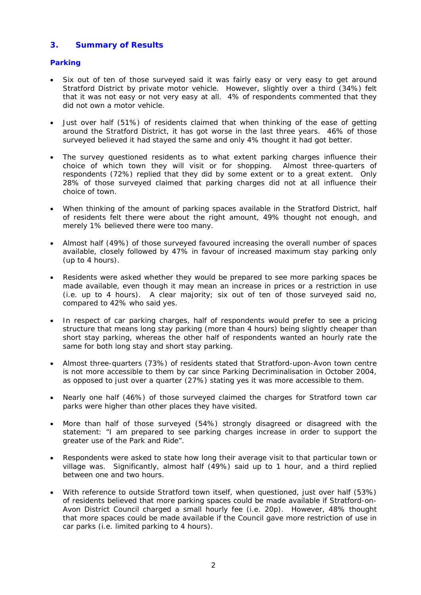# **3. Summary of Results**

# **Parking**

- Six out of ten of those surveyed said it was fairly easy or very easy to get around Stratford District by private motor vehicle. However, slightly over a third (34%) felt that it was not easy or not very easy at all. 4% of respondents commented that they did not own a motor vehicle.
- Just over half (51%) of residents claimed that when thinking of the ease of getting around the Stratford District, it has got worse in the last three years. 46% of those surveyed believed it had stayed the same and only 4% thought it had got better.
- The survey questioned residents as to what extent parking charges influence their choice of which town they will visit or for shopping. Almost three-quarters of respondents (72%) replied that they did by some extent or to a great extent. Only 28% of those surveyed claimed that parking charges did not at all influence their choice of town.
- When thinking of the amount of parking spaces available in the Stratford District, half of residents felt there were about the right amount, 49% thought not enough, and merely 1% believed there were too many.
- Almost half (49%) of those surveyed favoured increasing the overall number of spaces available, closely followed by 47% in favour of increased maximum stay parking only (up to 4 hours).
- Residents were asked whether they would be prepared to see more parking spaces be made available, even though it may mean an increase in prices or a restriction in use (i.e. up to 4 hours). A clear majority; six out of ten of those surveyed said no, compared to 42% who said yes.
- In respect of car parking charges, half of respondents would prefer to see a pricing structure that means long stay parking (more than 4 hours) being slightly cheaper than short stay parking, whereas the other half of respondents wanted an hourly rate the same for both long stay and short stay parking.
- Almost three-quarters (73%) of residents stated that Stratford-upon-Avon town centre is not more accessible to them by car since Parking Decriminalisation in October 2004, as opposed to just over a quarter (27%) stating yes it was more accessible to them.
- Nearly one half (46%) of those surveyed claimed the charges for Stratford town car parks were higher than other places they have visited.
- More than half of those surveyed (54%) strongly disagreed or disagreed with the statement: "I am prepared to see parking charges increase in order to support the greater use of the Park and Ride".
- Respondents were asked to state how long their average visit to that particular town or village was. Significantly, almost half (49%) said up to 1 hour, and a third replied between one and two hours.
- With reference to outside Stratford town itself, when questioned, just over half (53%) of residents believed that more parking spaces could be made available if Stratford-on-Avon District Council charged a small hourly fee (i.e. 20p). However, 48% thought that more spaces could be made available if the Council gave more restriction of use in car parks (i.e. limited parking to 4 hours).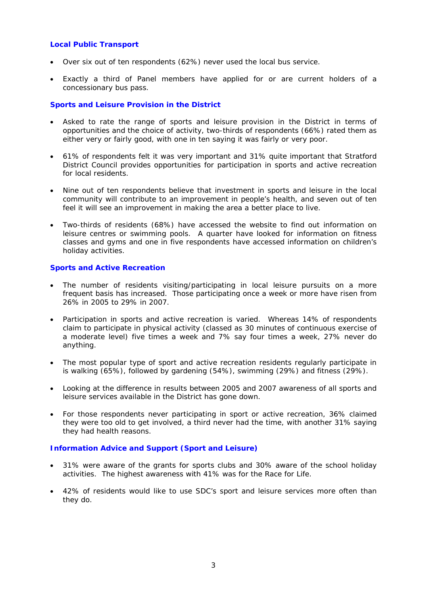#### **Local Public Transport**

- Over six out of ten respondents (62%) never used the local bus service.
- Exactly a third of Panel members have applied for or are current holders of a concessionary bus pass.

#### **Sports and Leisure Provision in the District**

- Asked to rate the range of sports and leisure provision in the District in terms of opportunities and the choice of activity, two-thirds of respondents (66%) rated them as either very or fairly good, with one in ten saying it was fairly or very poor.
- 61% of respondents felt it was very important and 31% quite important that Stratford District Council provides opportunities for participation in sports and active recreation for local residents.
- Nine out of ten respondents believe that investment in sports and leisure in the local community will contribute to an improvement in people's health, and seven out of ten feel it will see an improvement in making the area a better place to live.
- Two-thirds of residents (68%) have accessed the website to find out information on leisure centres or swimming pools. A quarter have looked for information on fitness classes and gyms and one in five respondents have accessed information on children's holiday activities.

#### **Sports and Active Recreation**

- The number of residents visiting/participating in local leisure pursuits on a more frequent basis has increased. Those participating once a week or more have risen from 26% in 2005 to 29% in 2007.
- Participation in sports and active recreation is varied. Whereas 14% of respondents claim to participate in physical activity (classed as 30 minutes of continuous exercise of a moderate level) five times a week and 7% say four times a week, 27% never do anything.
- The most popular type of sport and active recreation residents regularly participate in is walking (65%), followed by gardening (54%), swimming (29%) and fitness (29%).
- Looking at the difference in results between 2005 and 2007 awareness of all sports and leisure services available in the District has gone down.
- For those respondents never participating in sport or active recreation, 36% claimed they were too old to get involved, a third never had the time, with another 31% saying they had health reasons.

#### **Information Advice and Support (Sport and Leisure)**

- 31% were aware of the grants for sports clubs and 30% aware of the school holiday activities. The highest awareness with 41% was for the Race for Life.
- 42% of residents would like to use SDC's sport and leisure services more often than they do.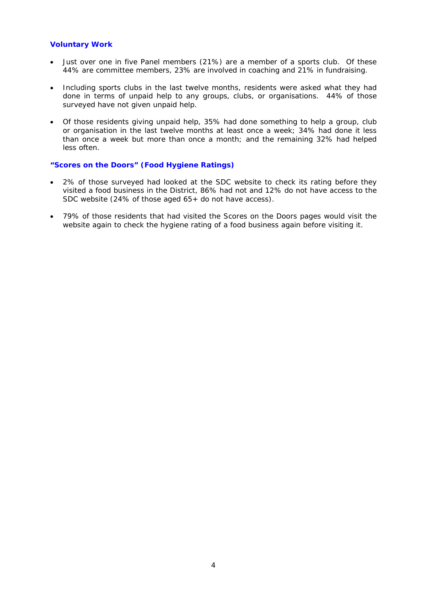#### **Voluntary Work**

- Just over one in five Panel members (21%) are a member of a sports club. Of these 44% are committee members, 23% are involved in coaching and 21% in fundraising.
- Including sports clubs in the last twelve months, residents were asked what they had done in terms of unpaid help to any groups, clubs, or organisations. 44% of those surveyed have not given unpaid help.
- Of those residents giving unpaid help, 35% had done something to help a group, club or organisation in the last twelve months at least once a week; 34% had done it less than once a week but more than once a month; and the remaining 32% had helped less often.

#### **"Scores on the Doors" (Food Hygiene Ratings)**

- 2% of those surveyed had looked at the SDC website to check its rating before they visited a food business in the District, 86% had not and 12% do not have access to the SDC website (24% of those aged 65+ do not have access).
- 79% of those residents that had visited the Scores on the Doors pages would visit the website again to check the hygiene rating of a food business again before visiting it.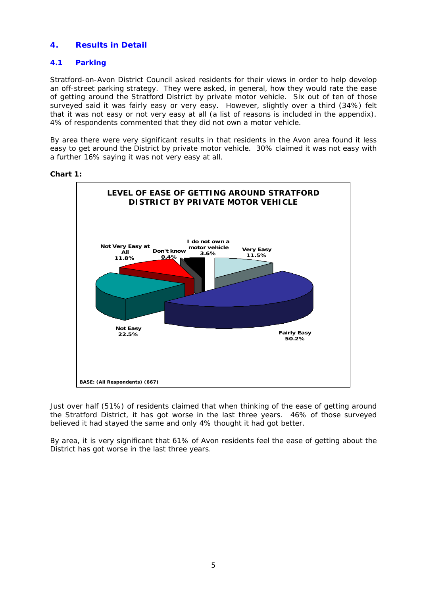# **4. Results in Detail**

# **4.1 Parking**

Stratford-on-Avon District Council asked residents for their views in order to help develop an off-street parking strategy. They were asked, in general, how they would rate the ease of getting around the Stratford District by private motor vehicle. Six out of ten of those surveyed said it was fairly easy or very easy. However, slightly over a third (34%) felt that it was not easy or not very easy at all (a list of reasons is included in the appendix). 4% of respondents commented that they did not own a motor vehicle.

By area there were very significant results in that residents in the Avon area found it less easy to get around the District by private motor vehicle. 30% claimed it was not easy with a further 16% saying it was not very easy at all.



**Chart 1:** 

Just over half (51%) of residents claimed that when thinking of the ease of getting around the Stratford District, it has got worse in the last three years. 46% of those surveyed believed it had stayed the same and only 4% thought it had got better.

By area, it is very significant that 61% of Avon residents feel the ease of getting about the District has got worse in the last three years.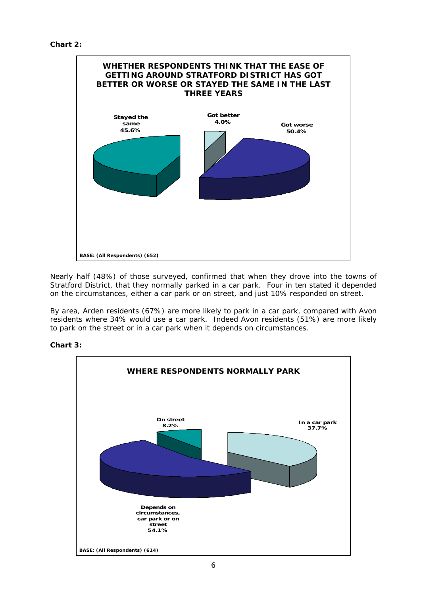```
Chart 2:
```


Nearly half (48%) of those surveyed, confirmed that when they drove into the towns of Stratford District, that they normally parked in a car park. Four in ten stated it depended on the circumstances, either a car park or on street, and just 10% responded on street.

By area, Arden residents (67%) are more likely to park in a car park, compared with Avon residents where 34% would use a car park. Indeed Avon residents (51%) are more likely to park on the street or in a car park when it depends on circumstances.



# **Chart 3:**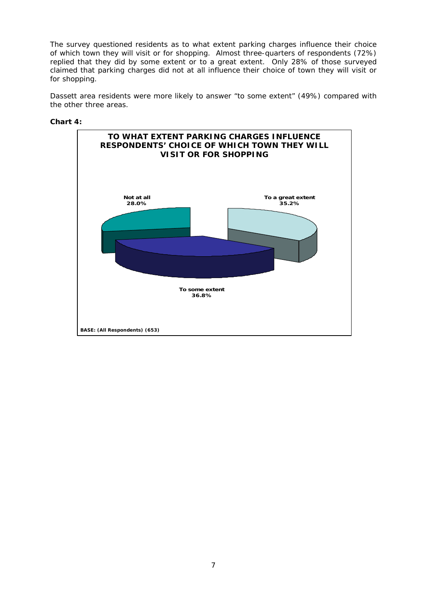The survey questioned residents as to what extent parking charges influence their choice of which town they will visit or for shopping. Almost three-quarters of respondents (72%) replied that they did by some extent or to a great extent. Only 28% of those surveyed claimed that parking charges did not at all influence their choice of town they will visit or for shopping.

Dassett area residents were more likely to answer "to some extent" (49%) compared with the other three areas.



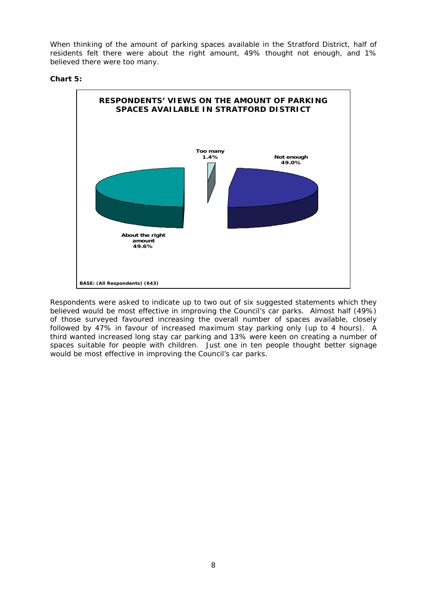When thinking of the amount of parking spaces available in the Stratford District, half of residents felt there were about the right amount, 49% thought not enough, and 1% believed there were too many.

#### **Chart 5:**



Respondents were asked to indicate up to two out of six suggested statements which they believed would be most effective in improving the Council's car parks. Almost half (49%) of those surveyed favoured increasing the overall number of spaces available, closely followed by 47% in favour of increased maximum stay parking only (up to 4 hours). A third wanted increased long stay car parking and 13% were keen on creating a number of spaces suitable for people with children. Just one in ten people thought better signage would be most effective in improving the Council's car parks.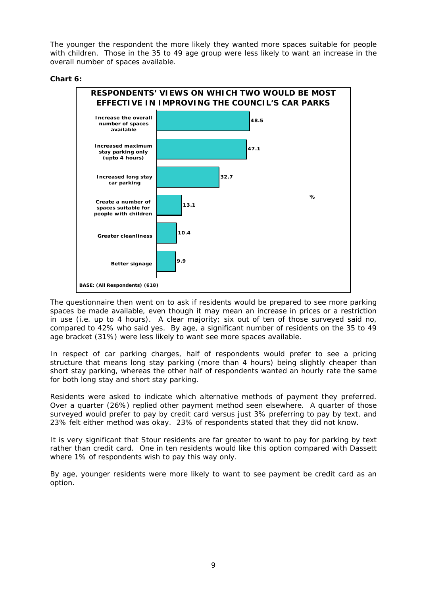The younger the respondent the more likely they wanted more spaces suitable for people with children. Those in the 35 to 49 age group were less likely to want an increase in the overall number of spaces available.

#### **Chart 6:**



The questionnaire then went on to ask if residents would be prepared to see more parking spaces be made available, even though it may mean an increase in prices or a restriction in use (i.e. up to 4 hours). A clear majority; six out of ten of those surveyed said no, compared to 42% who said yes. By age, a significant number of residents on the 35 to 49 age bracket (31%) were less likely to want see more spaces available.

In respect of car parking charges, half of respondents would prefer to see a pricing structure that means long stay parking (more than 4 hours) being slightly cheaper than short stay parking, whereas the other half of respondents wanted an hourly rate the same for both long stay and short stay parking.

Residents were asked to indicate which alternative methods of payment they preferred. Over a quarter (26%) replied other payment method seen elsewhere.A quarter of those surveyed would prefer to pay by credit card versus just 3% preferring to pay by text, and 23% felt either method was okay. 23% of respondents stated that they did not know.

It is very significant that Stour residents are far greater to want to pay for parking by text rather than credit card. One in ten residents would like this option compared with Dassett where 1% of respondents wish to pay this way only.

By age, younger residents were more likely to want to see payment be credit card as an option.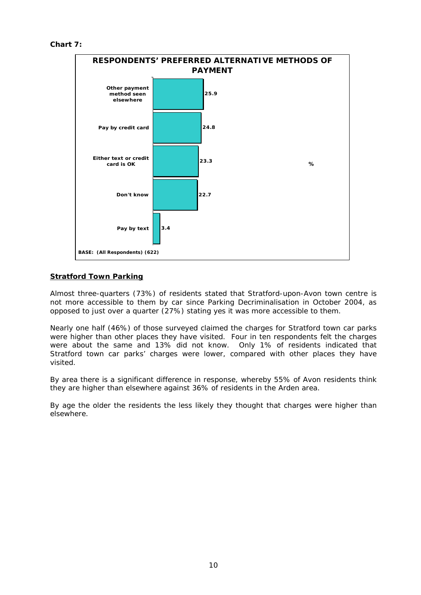```
Chart 7:
```


# **Stratford Town Parking**

Almost three-quarters (73%) of residents stated that Stratford-upon-Avon town centre is not more accessible to them by car since Parking Decriminalisation in October 2004, as opposed to just over a quarter (27%) stating yes it was more accessible to them.

Nearly one half (46%) of those surveyed claimed the charges for Stratford town car parks were higher than other places they have visited. Four in ten respondents felt the charges were about the same and 13% did not know. Only 1% of residents indicated that Stratford town car parks' charges were lower, compared with other places they have visited.

By area there is a significant difference in response, whereby 55% of Avon residents think they are higher than elsewhere against 36% of residents in the Arden area.

By age the older the residents the less likely they thought that charges were higher than elsewhere.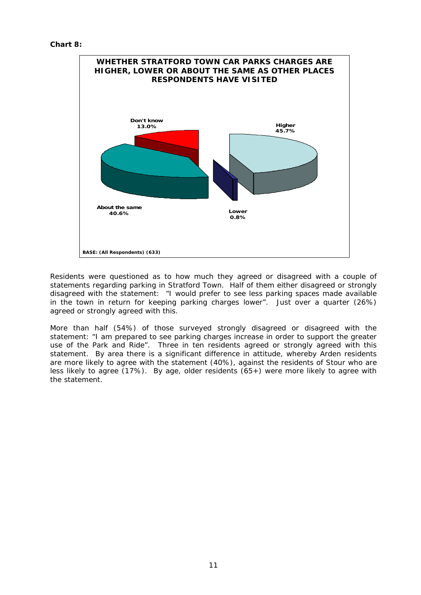

Residents were questioned as to how much they agreed or disagreed with a couple of statements regarding parking in Stratford Town. Half of them either disagreed or strongly disagreed with the statement: "I would prefer to see less parking spaces made available in the town in return for keeping parking charges lower". Just over a quarter (26%) agreed or strongly agreed with this.

More than half (54%) of those surveyed strongly disagreed or disagreed with the statement: "I am prepared to see parking charges increase in order to support the greater use of the Park and Ride". Three in ten residents agreed or strongly agreed with this statement. By area there is a significant difference in attitude, whereby Arden residents are more likely to agree with the statement (40%), against the residents of Stour who are less likely to agree (17%). By age, older residents (65+) were more likely to agree with the statement.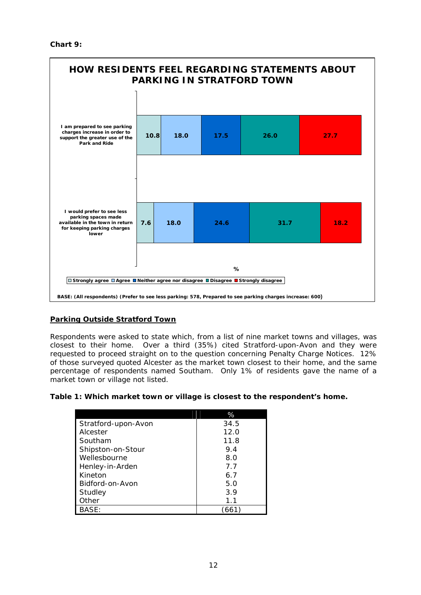**Chart 9:** 



# **Parking Outside Stratford Town**

Respondents were asked to state which, from a list of nine market towns and villages, was closest to their home. Over a third (35%) cited Stratford-upon-Avon and they were requested to proceed straight on to the question concerning Penalty Charge Notices. 12% of those surveyed quoted Alcester as the market town closest to their home, and the same percentage of respondents named Southam. Only 1% of residents gave the name of a market town or village not listed.

**Table 1: Which market town or village is closest to the respondent's home.** 

|                     | %     |
|---------------------|-------|
| Stratford-upon-Avon | 34.5  |
| Alcester            | 12.0  |
| Southam             | 11.8  |
| Shipston-on-Stour   | 9.4   |
| Wellesbourne        | 8.0   |
| Henley-in-Arden     | 7.7   |
| Kineton             | 6.7   |
| Bidford-on-Avon     | 5.0   |
| Studley             | 3.9   |
| )ther               | 1.1   |
| BASE:               | '661) |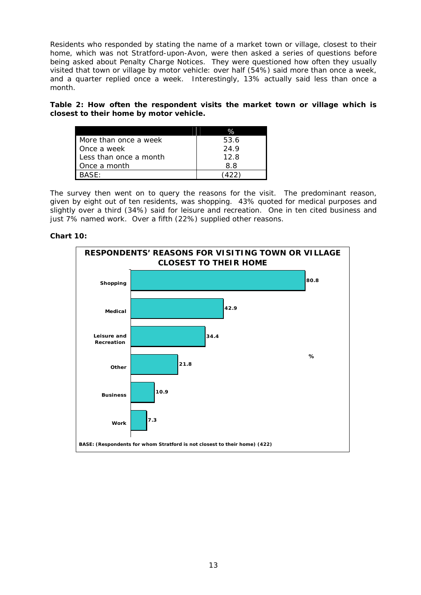Residents who responded by stating the name of a market town or village, closest to their home, which was not Stratford-upon-Avon, were then asked a series of questions before being asked about Penalty Charge Notices. They were questioned how often they usually visited that town or village by motor vehicle: over half (54%) said more than once a week, and a quarter replied once a week. Interestingly, 13% actually said less than once a month.

**Table 2: How often the respondent visits the market town or village which is closest to their home by motor vehicle.** 

|                        | $\%$ |
|------------------------|------|
| More than once a week  | 53.6 |
| Once a week            | 24.9 |
| Less than once a month | 12.8 |
| Once a month           | 8.8  |
| BASF∙                  | 422  |

The survey then went on to query the reasons for the visit. The predominant reason, given by eight out of ten residents, was shopping. 43% quoted for medical purposes and slightly over a third (34%) said for leisure and recreation. One in ten cited business and just 7% named work. Over a fifth (22%) supplied other reasons.

# **Chart 10:**

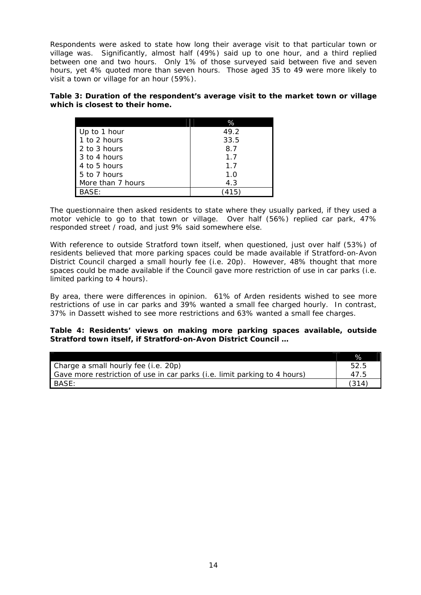Respondents were asked to state how long their average visit to that particular town or village was. Significantly, almost half (49%) said up to one hour, and a third replied between one and two hours. Only 1% of those surveyed said between five and seven hours, yet 4% quoted more than seven hours. Those aged 35 to 49 were more likely to visit a town or village for an hour (59%).

**Table 3: Duration of the respondent's average visit to the market town or village which is closest to their home.** 

|                       | %    |
|-----------------------|------|
| Up to 1 hour          | 49.2 |
| 1 to 2 hours          | 33.5 |
| 2 to 3 hours          | 8.7  |
| 3 to 4 hours          | 1.7  |
| 4 to 5 hours          | 1.7  |
| 5 to 7 hours          | 1.0  |
| More than 7 hours     | 4.3  |
| $\mathsf{BASE}\colon$ |      |

The questionnaire then asked residents to state where they usually parked, if they used a motor vehicle to go to that town or village. Over half (56%) replied car park, 47% responded street / road, and just 9% said somewhere else.

With reference to outside Stratford town itself, when questioned, just over half (53%) of residents believed that more parking spaces could be made available if Stratford-on-Avon District Council charged a small hourly fee (i.e. 20p). However, 48% thought that more spaces could be made available if the Council gave more restriction of use in car parks (i.e. limited parking to 4 hours).

By area, there were differences in opinion. 61% of Arden residents wished to see more restrictions of use in car parks and 39% wanted a small fee charged hourly. In contrast, 37% in Dassett wished to see more restrictions and 63% wanted a small fee charges.

#### **Table 4: Residents' views on making more parking spaces available, outside Stratford town itself, if Stratford-on-Avon District Council …**

|                                                                           | $\%$  |
|---------------------------------------------------------------------------|-------|
| Charge a small hourly fee (i.e. 20p)                                      | 52.5  |
| Gave more restriction of use in car parks (i.e. limit parking to 4 hours) | 47.5  |
| <b>BASE:</b>                                                              | (314) |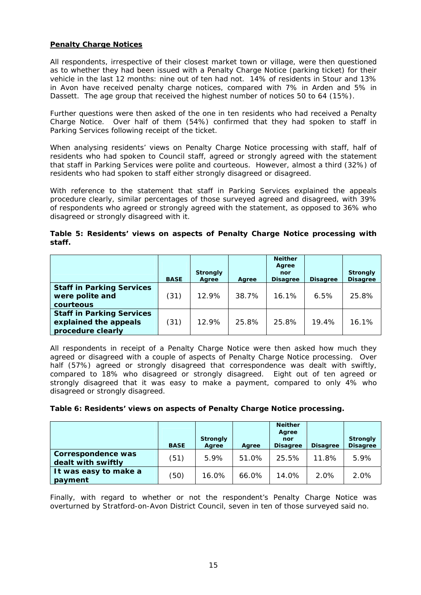#### **Penalty Charge Notices**

All respondents, irrespective of their closest market town or village, were then questioned as to whether they had been issued with a Penalty Charge Notice (parking ticket) for their vehicle in the last 12 months: nine out of ten had not. 14% of residents in Stour and 13% in Avon have received penalty charge notices, compared with 7% in Arden and 5% in Dassett. The age group that received the highest number of notices 50 to 64 (15%).

Further questions were then asked of the one in ten residents who had received a Penalty Charge Notice. Over half of them (54%) confirmed that they had spoken to staff in Parking Services following receipt of the ticket.

When analysing residents' views on Penalty Charge Notice processing with staff, half of residents who had spoken to Council staff, agreed or strongly agreed with the statement that staff in Parking Services were polite and courteous. However, almost a third (32%) of residents who had spoken to staff either strongly disagreed or disagreed.

With reference to the statement that staff in Parking Services explained the appeals procedure clearly, similar percentages of those surveyed agreed and disagreed, with 39% of respondents who agreed or strongly agreed with the statement, as opposed to 36% who disagreed or strongly disagreed with it.

| Table 5: Residents' views on aspects of Penalty Charge Notice processing with |  |  |  |  |  |
|-------------------------------------------------------------------------------|--|--|--|--|--|
| staff.                                                                        |  |  |  |  |  |

|                                                                                | <b>BASE</b> | <b>Strongly</b><br>Agree | Agree | <b>Neither</b><br>Agree<br>nor<br><b>Disagree</b> | <b>Disagree</b> | <b>Strongly</b><br><b>Disagree</b> |
|--------------------------------------------------------------------------------|-------------|--------------------------|-------|---------------------------------------------------|-----------------|------------------------------------|
| <b>Staff in Parking Services</b><br>were polite and<br>courteous               | (31)        | 12.9%                    | 38.7% | 16.1%                                             | 6.5%            | 25.8%                              |
| <b>Staff in Parking Services</b><br>explained the appeals<br>procedure clearly | (31)        | 12.9%                    | 25.8% | 25.8%                                             | 19.4%           | 16.1%                              |

All respondents in receipt of a Penalty Charge Notice were then asked how much they agreed or disagreed with a couple of aspects of Penalty Charge Notice processing. Over half (57%) agreed or strongly disagreed that correspondence was dealt with swiftly, compared to 18% who disagreed or strongly disagreed. Eight out of ten agreed or strongly disagreed that it was easy to make a payment, compared to only 4% who disagreed or strongly disagreed.

**Table 6: Residents' views on aspects of Penalty Charge Notice processing.** 

|                                          | <b>BASE</b> | <b>Strongly</b><br>Agree | Agree | <b>Neither</b><br>Agree<br>nor<br><b>Disagree</b> | <b>Disagree</b> | <b>Strongly</b><br><b>Disagree</b> |
|------------------------------------------|-------------|--------------------------|-------|---------------------------------------------------|-----------------|------------------------------------|
| Correspondence was<br>dealt with swiftly | (51)        | 5.9%                     | 51.0% | 25.5%                                             | 11.8%           | 5.9%                               |
| It was easy to make a<br>payment         | (50)        | 16.0%                    | 66.0% | 14.0%                                             | 2.0%            | 2.0%                               |

Finally, with regard to whether or not the respondent's Penalty Charge Notice was overturned by Stratford-on-Avon District Council, seven in ten of those surveyed said no.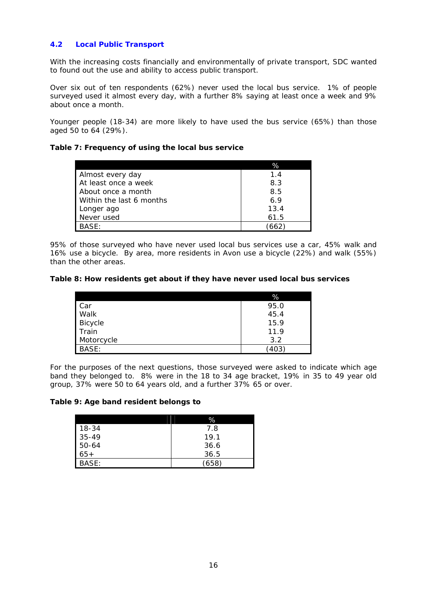# **4.2 Local Public Transport**

With the increasing costs financially and environmentally of private transport, SDC wanted to found out the use and ability to access public transport.

Over six out of ten respondents (62%) never used the local bus service. 1% of people surveyed used it almost every day, with a further 8% saying at least once a week and 9% about once a month.

Younger people (18-34) are more likely to have used the bus service (65%) than those aged 50 to 64 (29%).

#### **Table 7: Frequency of using the local bus service**

|                          | %    |
|--------------------------|------|
| Almost every day         | 1.4  |
| At least once a week     | 8.3  |
| About once a month       | 8.5  |
| Within the last 6 months | 6.9  |
| Longer ago               | 13.4 |
| Never used               | 61.5 |
| BASE:                    | 662  |

95% of those surveyed who have never used local bus services use a car, 45% walk and 16% use a bicycle. By area, more residents in Avon use a bicycle (22%) and walk (55%) than the other areas.

#### **Table 8: How residents get about if they have never used local bus services**

|                | %    |
|----------------|------|
| Car            | 95.0 |
| Walk           | 45.4 |
| <b>Bicycle</b> | 15.9 |
| Train          | 11.9 |
| Motorcycle     | 3.2  |
| BASE:          | 403  |

For the purposes of the next questions, those surveyed were asked to indicate which age band they belonged to. 8% were in the 18 to 34 age bracket, 19% in 35 to 49 year old group, 37% were 50 to 64 years old, and a further 37% 65 or over.

#### **Table 9: Age band resident belongs to**

|           | %    |
|-----------|------|
| 18-34     | 7.8  |
| $35 - 49$ | 19.1 |
| 50-64     | 36.6 |
| $65+$     | 36.5 |
| BASF:     | 658. |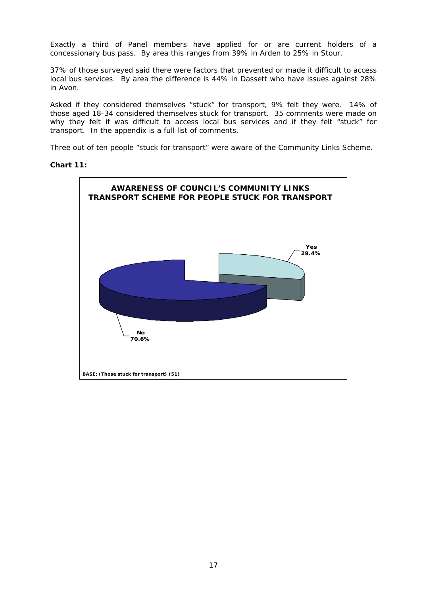Exactly a third of Panel members have applied for or are current holders of a concessionary bus pass. By area this ranges from 39% in Arden to 25% in Stour.

37% of those surveyed said there were factors that prevented or made it difficult to access local bus services. By area the difference is 44% in Dassett who have issues against 28% in Avon.

Asked if they considered themselves "stuck" for transport, 9% felt they were. 14% of those aged 18-34 considered themselves stuck for transport. 35 comments were made on why they felt if was difficult to access local bus services and if they felt "stuck" for transport. In the appendix is a full list of comments.

Three out of ten people "stuck for transport" were aware of the Community Links Scheme.

#### **Chart 11:**

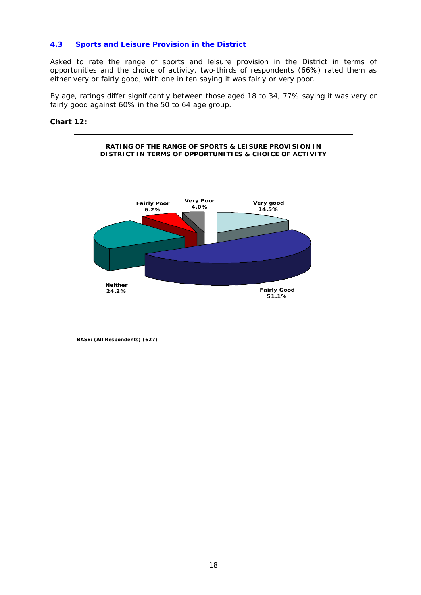# **4.3 Sports and Leisure Provision in the District**

Asked to rate the range of sports and leisure provision in the District in terms of opportunities and the choice of activity, two-thirds of respondents (66%) rated them as either very or fairly good, with one in ten saying it was fairly or very poor.

By age, ratings differ significantly between those aged 18 to 34, 77% saying it was very or fairly good against 60% in the 50 to 64 age group.

#### **Chart 12:**

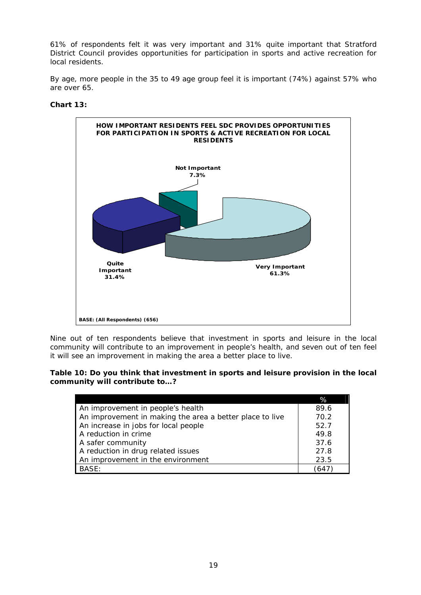61% of respondents felt it was very important and 31% quite important that Stratford District Council provides opportunities for participation in sports and active recreation for local residents.

By age, more people in the 35 to 49 age group feel it is important (74%) against 57% who are over 65.

#### **Chart 13:**



Nine out of ten respondents believe that investment in sports and leisure in the local community will contribute to an improvement in people's health, and seven out of ten feel it will see an improvement in making the area a better place to live.

#### **Table 10: Do you think that investment in sports and leisure provision in the local community will contribute to…?**

|                                                          | %    |
|----------------------------------------------------------|------|
| An improvement in people's health                        | 89.6 |
| An improvement in making the area a better place to live | 70.2 |
| An increase in jobs for local people                     | 52.7 |
| A reduction in crime                                     | 49.8 |
| A safer community                                        | 37.6 |
| A reduction in drug related issues                       | 27.8 |
| An improvement in the environment                        | 23.5 |
| BASE:                                                    | 64   |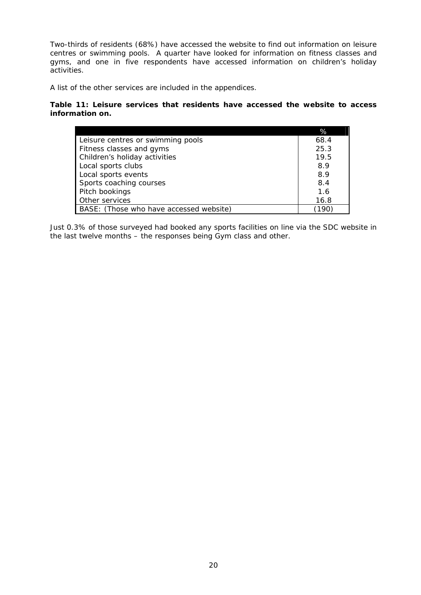Two-thirds of residents (68%) have accessed the website to find out information on leisure centres or swimming pools. A quarter have looked for information on fitness classes and gyms, and one in five respondents have accessed information on children's holiday activities.

A list of the other services are included in the appendices.

#### **Table 11: Leisure services that residents have accessed the website to access information on.**

|                                         | %    |
|-----------------------------------------|------|
| Leisure centres or swimming pools       | 68.4 |
| Fitness classes and gyms                | 25.3 |
| Children's holiday activities           | 19.5 |
| Local sports clubs                      | 8.9  |
| Local sports events                     | 8.9  |
| Sports coaching courses                 | 8.4  |
| Pitch bookings                          | 1.6  |
| Other services                          | 16.8 |
| BASE: (Those who have accessed website) | 190  |

Just 0.3% of those surveyed had booked any sports facilities on line via the SDC website in the last twelve months – the responses being Gym class and other.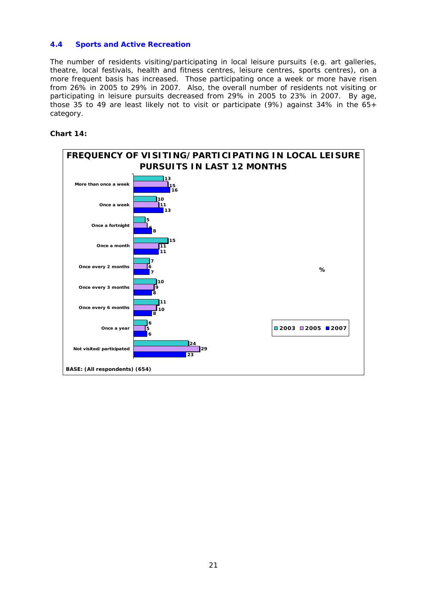#### **4.4 Sports and Active Recreation**

The number of residents visiting/participating in local leisure pursuits (e.g. art galleries, theatre, local festivals, health and fitness centres, leisure centres, sports centres), on a more frequent basis has increased. Those participating once a week or more have risen from 26% in 2005 to 29% in 2007. Also, the overall number of residents not visiting or participating in leisure pursuits decreased from 29% in 2005 to 23% in 2007. By age, those 35 to 49 are least likely not to visit or participate (9%) against 34% in the 65+ category.

#### **Chart 14:**

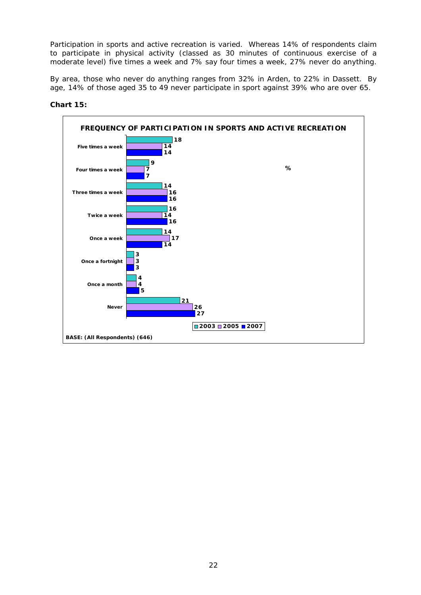Participation in sports and active recreation is varied. Whereas 14% of respondents claim to participate in physical activity (classed as 30 minutes of continuous exercise of a moderate level) five times a week and 7% say four times a week, 27% never do anything.

By area, those who never do anything ranges from 32% in Arden, to 22% in Dassett. By age, 14% of those aged 35 to 49 never participate in sport against 39% who are over 65.



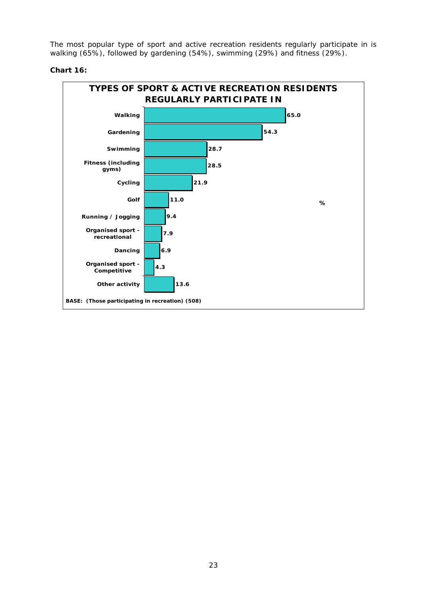The most popular type of sport and active recreation residents regularly participate in is walking (65%), followed by gardening (54%), swimming (29%) and fitness (29%).

**Chart 16:** 

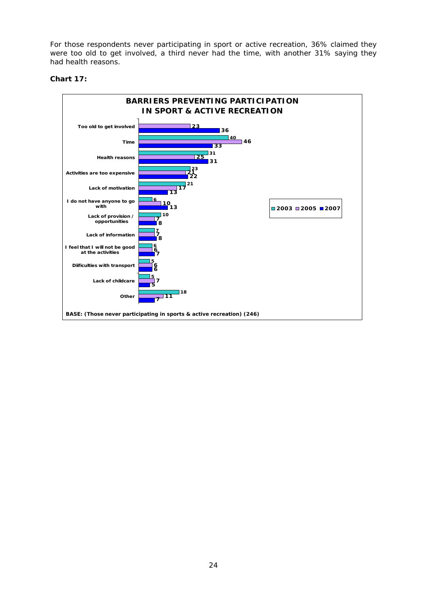For those respondents never participating in sport or active recreation, 36% claimed they were too old to get involved, a third never had the time, with another 31% saying they had health reasons.

## **Chart 17:**

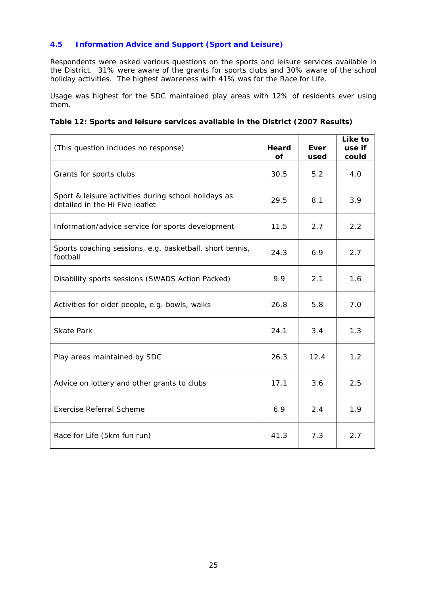# **4.5 Information Advice and Support (Sport and Leisure)**

Respondents were asked various questions on the sports and leisure services available in the District. 31% were aware of the grants for sports clubs and 30% aware of the school holiday activities. The highest awareness with 41% was for the Race for Life.

Usage was highest for the SDC maintained play areas with 12% of residents ever using them.

| Table 12: Sports and leisure services available in the District (2007 Results) |
|--------------------------------------------------------------------------------|
|--------------------------------------------------------------------------------|

| (This question includes no response)                                                    | Heard<br><b>of</b> | Ever<br>used | Like to<br>use if<br>could |
|-----------------------------------------------------------------------------------------|--------------------|--------------|----------------------------|
| Grants for sports clubs                                                                 | 30.5               | 5.2          | 4.0                        |
| Sport & leisure activities during school holidays as<br>detailed in the Hi Five leaflet | 29.5               | 8.1          | 3.9                        |
| Information/advice service for sports development                                       | 11.5               | 2.7          | 2.2                        |
| Sports coaching sessions, e.g. basketball, short tennis,<br>football                    | 24.3               | 6.9          | 2.7                        |
| Disability sports sessions (SWADS Action Packed)                                        | 9.9                | 2.1          | 1.6                        |
| Activities for older people, e.g. bowls, walks                                          | 26.8               | 5.8          | 7.0                        |
| <b>Skate Park</b>                                                                       | 24.1               | 3.4          | 1.3                        |
| Play areas maintained by SDC                                                            | 26.3               | 12.4         | 1.2                        |
| Advice on lottery and other grants to clubs                                             | 17.1               | 3.6          | 2.5                        |
| <b>Exercise Referral Scheme</b>                                                         | 6.9                | 2.4          | 1.9                        |
| Race for Life (5km fun run)                                                             | 41.3               | 7.3          | 2.7                        |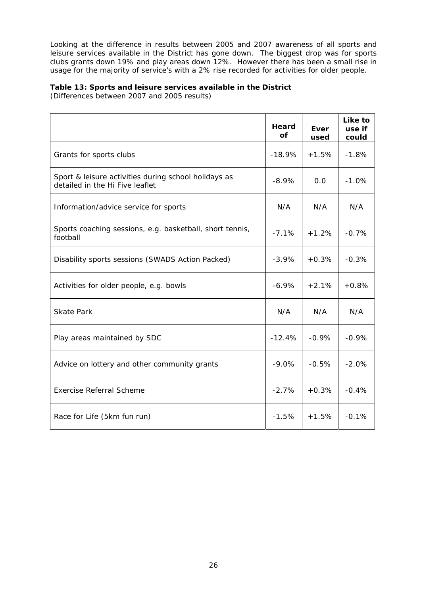Looking at the difference in results between 2005 and 2007 awareness of all sports and leisure services available in the District has gone down. The biggest drop was for sports clubs grants down 19% and play areas down 12%. However there has been a small rise in usage for the majority of service's with a 2% rise recorded for activities for older people.

# **Table 13: Sports and leisure services available in the District**

(Differences between 2007 and 2005 results)

|                                                                                         | Heard<br>of | Ever<br>used | Like to<br>use if<br>could |
|-----------------------------------------------------------------------------------------|-------------|--------------|----------------------------|
| Grants for sports clubs                                                                 | $-18.9%$    | $+1.5%$      | $-1.8%$                    |
| Sport & leisure activities during school holidays as<br>detailed in the Hi Five leaflet | $-8.9%$     | 0.0          | $-1.0%$                    |
| Information/advice service for sports                                                   | N/A         | N/A          | N/A                        |
| Sports coaching sessions, e.g. basketball, short tennis,<br>football                    | $-7.1%$     | $+1.2%$      | $-0.7%$                    |
| Disability sports sessions (SWADS Action Packed)                                        | $-3.9%$     | $+0.3%$      | $-0.3%$                    |
| Activities for older people, e.g. bowls                                                 | $-6.9\%$    | $+2.1%$      | $+0.8%$                    |
| <b>Skate Park</b>                                                                       | N/A         | N/A          | N/A                        |
| Play areas maintained by SDC                                                            | $-12.4%$    | $-0.9%$      | $-0.9%$                    |
| Advice on lottery and other community grants                                            | $-9.0\%$    | $-0.5%$      | $-2.0%$                    |
| <b>Exercise Referral Scheme</b>                                                         | $-2.7%$     | $+0.3%$      | $-0.4%$                    |
| Race for Life (5km fun run)                                                             | $-1.5%$     | $+1.5%$      | $-0.1%$                    |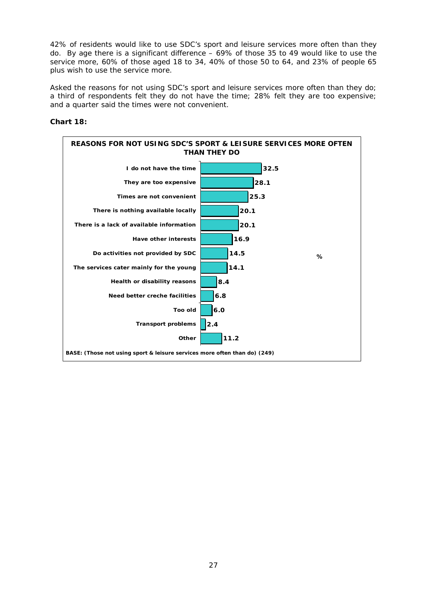42% of residents would like to use SDC's sport and leisure services more often than they do. By age there is a significant difference – 69% of those 35 to 49 would like to use the service more, 60% of those aged 18 to 34, 40% of those 50 to 64, and 23% of people 65 plus wish to use the service more.

Asked the reasons for not using SDC's sport and leisure services more often than they do; a third of respondents felt they do not have the time; 28% felt they are too expensive; and a quarter said the times were not convenient.

#### **Chart 18:**

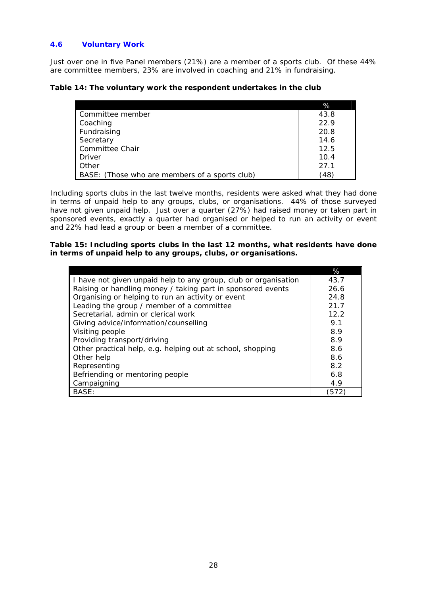# **4.6 Voluntary Work**

Just over one in five Panel members (21%) are a member of a sports club. Of these 44% are committee members, 23% are involved in coaching and 21% in fundraising.

|                                                | %          |
|------------------------------------------------|------------|
| Committee member                               | 43.8       |
| Coaching                                       | 22.9       |
| Fundraising                                    | 20.8       |
| Secretary                                      | 14.6       |
| Committee Chair                                | 12.5       |
| Driver                                         | 10.4       |
| <b>Other</b>                                   | 27.1       |
| BASE: (Those who are members of a sports club) | $48^\circ$ |

Including sports clubs in the last twelve months, residents were asked what they had done in terms of unpaid help to any groups, clubs, or organisations. 44% of those surveyed have not given unpaid help. Just over a quarter (27%) had raised money or taken part in sponsored events, exactly a quarter had organised or helped to run an activity or event and 22% had lead a group or been a member of a committee.

**Table 15: Including sports clubs in the last 12 months, what residents have done in terms of unpaid help to any groups, clubs, or organisations.**

|                                                                 | %    |
|-----------------------------------------------------------------|------|
| I have not given unpaid help to any group, club or organisation | 43.7 |
| Raising or handling money / taking part in sponsored events     | 26.6 |
| Organising or helping to run an activity or event               | 24.8 |
| Leading the group / member of a committee                       | 21.7 |
| Secretarial, admin or clerical work                             | 12.2 |
| Giving advice/information/counselling                           | 9.1  |
| Visiting people                                                 | 8.9  |
| Providing transport/driving                                     | 8.9  |
| Other practical help, e.g. helping out at school, shopping      | 8.6  |
| Other help                                                      | 8.6  |
| Representing                                                    | 8.2  |
| Befriending or mentoring people                                 | 6.8  |
| Campaigning                                                     | 4.9  |
| BASE:                                                           | 572  |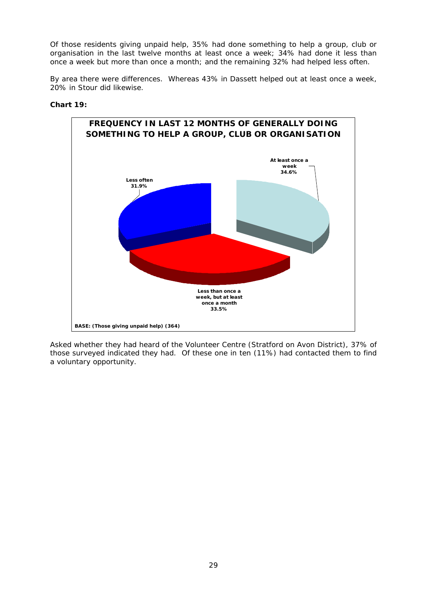Of those residents giving unpaid help, 35% had done something to help a group, club or organisation in the last twelve months at least once a week; 34% had done it less than once a week but more than once a month; and the remaining 32% had helped less often.

By area there were differences. Whereas 43% in Dassett helped out at least once a week, 20% in Stour did likewise.

#### **Chart 19:**



Asked whether they had heard of the Volunteer Centre (Stratford on Avon District), 37% of those surveyed indicated they had. Of these one in ten (11%) had contacted them to find a voluntary opportunity.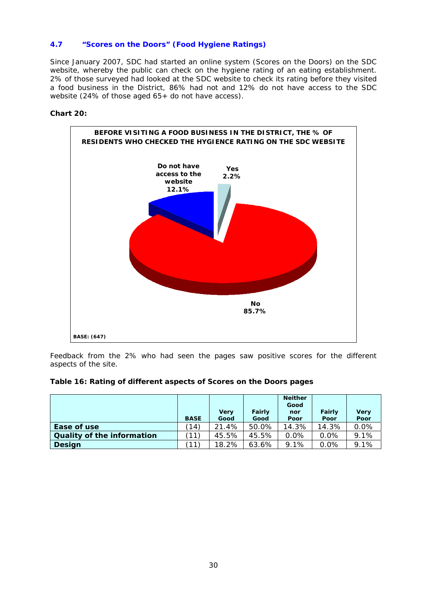# **4.7 "Scores on the Doors" (Food Hygiene Ratings)**

Since January 2007, SDC had started an online system (Scores on the Doors) on the SDC website, whereby the public can check on the hygiene rating of an eating establishment. 2% of those surveyed had looked at the SDC website to check its rating before they visited a food business in the District, 86% had not and 12% do not have access to the SDC website (24% of those aged 65+ do not have access).

#### **Chart 20:**



Feedback from the 2% who had seen the pages saw positive scores for the different aspects of the site.

#### **Table 16: Rating of different aspects of Scores on the Doors pages**

|                                   | <b>BASE</b> | Very<br>Good | Fairly<br>Good | <b>Neither</b><br>Good<br>nor<br>Poor | Fairly<br>Poor | <b>Very</b><br>Poor |
|-----------------------------------|-------------|--------------|----------------|---------------------------------------|----------------|---------------------|
| Ease of use                       | (14)        | 21.4%        | 50.0%          | 14.3%                                 | 14.3%          | 0.0%                |
| <b>Quality of the information</b> | (11)        | 45.5%        | 45.5%          | 0.0%                                  | 0.0%           | 9.1%                |
| <b>Design</b>                     | (11)        | 18.2%        | 63.6%          | 9.1%                                  | 0.0%           | 9.1%                |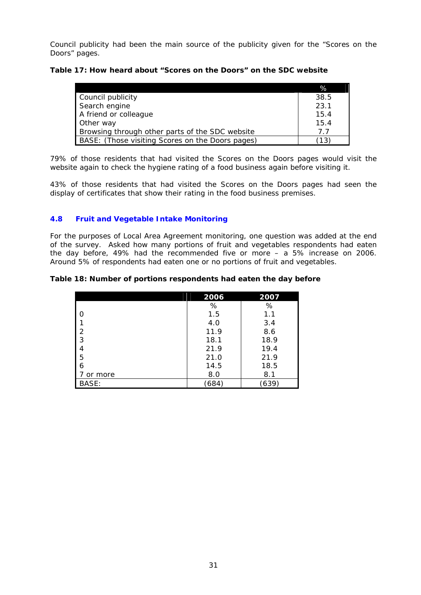Council publicity had been the main source of the publicity given for the "Scores on the Doors" pages.

| Table 17: How heard about "Scores on the Doors" on the SDC website |  |  |
|--------------------------------------------------------------------|--|--|
|--------------------------------------------------------------------|--|--|

|                                                  | %    |
|--------------------------------------------------|------|
| Council publicity                                | 38.5 |
| Search engine                                    | 23.1 |
| A friend or colleague                            | 15.4 |
| Other way                                        | 15.4 |
| Browsing through other parts of the SDC website  | 77   |
| BASE: (Those visiting Scores on the Doors pages) | 13'  |

79% of those residents that had visited the Scores on the Doors pages would visit the website again to check the hygiene rating of a food business again before visiting it.

43% of those residents that had visited the Scores on the Doors pages had seen the display of certificates that show their rating in the food business premises.

# **4.8 Fruit and Vegetable Intake Monitoring**

For the purposes of Local Area Agreement monitoring, one question was added at the end of the survey. Asked how many portions of fruit and vegetables respondents had eaten the day before, 49% had the recommended five or more – a 5% increase on 2006. Around 5% of respondents had eaten one or no portions of fruit and vegetables.

| Table 18: Number of portions respondents had eaten the day before |  |  |  |  |  |
|-------------------------------------------------------------------|--|--|--|--|--|
|                                                                   |  |  |  |  |  |

|               | 2006        | 2007 |
|---------------|-------------|------|
|               | $\%$        | %    |
| I O           | 1.5         | 1.1  |
|               | 4.0         | 3.4  |
| $\frac{2}{3}$ | 11.9        | 8.6  |
|               | 18.1        | 18.9 |
|               | 21.9        | 19.4 |
| 5             | 21.0        | 21.9 |
| 6             | 14.5        | 18.5 |
| or more       | 8.0         | 8.1  |
| BASE:         | $684^\circ$ | 639, |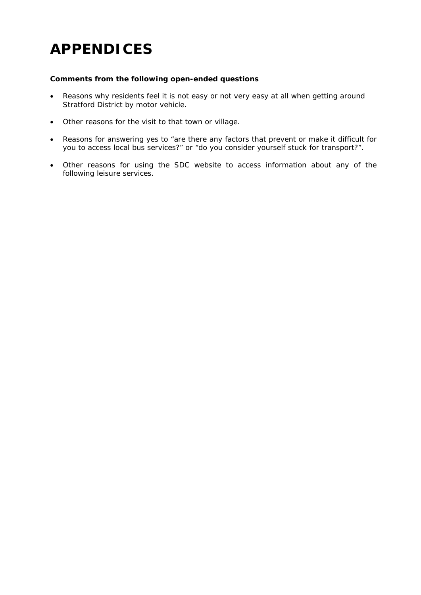# **APPENDICES**

#### **Comments from the following open-ended questions**

- Reasons why residents feel it is not easy or not very easy at all when getting around Stratford District by motor vehicle.
- Other reasons for the visit to that town or village.
- Reasons for answering yes to "are there any factors that prevent or make it difficult for you to access local bus services?" or "do you consider yourself stuck for transport?".
- Other reasons for using the SDC website to access information about any of the following leisure services.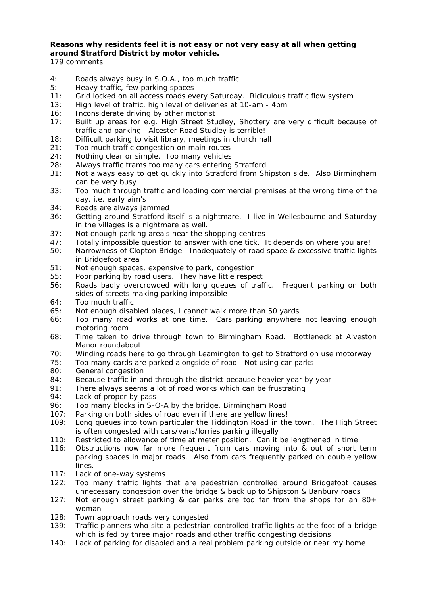## **Reasons why residents feel it is not easy or not very easy at all when getting around Stratford District by motor vehicle.**

- 4: Roads always busy in S.O.A., too much traffic
- 5: Heavy traffic, few parking spaces
- 11: Grid locked on all access roads every Saturday. Ridiculous traffic flow system
- 13: High level of traffic, high level of deliveries at 10-am 4pm
- 16: Inconsiderate driving by other motorist
- 17: Built up areas for e.g. High Street Studley, Shottery are very difficult because of traffic and parking. Alcester Road Studley is terrible!
- 18: Difficult parking to visit library, meetings in church hall
- 21: Too much traffic congestion on main routes
- 24: Nothing clear or simple. Too many vehicles
- 28: Always traffic trams too many cars entering Stratford
- 31: Not always easy to get quickly into Stratford from Shipston side. Also Birmingham can be very busy
- 33: Too much through traffic and loading commercial premises at the wrong time of the day, i.e. early aim's
- 34: Roads are always jammed
- 36: Getting around Stratford itself is a nightmare. I live in Wellesbourne and Saturday in the villages is a nightmare as well.
- 37: Not enough parking area's near the shopping centres
- 47: Totally impossible question to answer with one tick. It depends on where you are!
- 50: Narrowness of Clopton Bridge. Inadequately of road space & excessive traffic lights in Bridgefoot area
- 51: Not enough spaces, expensive to park, congestion
- 55: Poor parking by road users. They have little respect
- 56: Roads badly overcrowded with long queues of traffic. Frequent parking on both sides of streets making parking impossible
- 64: Too much traffic
- 65: Not enough disabled places, I cannot walk more than 50 yards
- 66: Too many road works at one time. Cars parking anywhere not leaving enough motoring room
- 68: Time taken to drive through town to Birmingham Road. Bottleneck at Alveston Manor roundabout
- 70: Winding roads here to go through Leamington to get to Stratford on use motorway
- 75: Too many cards are parked alongside of road. Not using car parks
- 80: General congestion
- 84: Because traffic in and through the district because heavier year by year
- 91: There always seems a lot of road works which can be frustrating
- 94: Lack of proper by pass
- 96: Too many blocks in S-O-A by the bridge, Birmingham Road
- 107: Parking on both sides of road even if there are yellow lines!
- 109: Long queues into town particular the Tiddington Road in the town. The High Street is often congested with cars/vans/lorries parking illegally
- 110: Restricted to allowance of time at meter position. Can it be lengthened in time
- 116: Obstructions now far more frequent from cars moving into & out of short term parking spaces in major roads. Also from cars frequently parked on double yellow lines.
- 117: Lack of one-way systems
- 122: Too many traffic lights that are pedestrian controlled around Bridgefoot causes unnecessary congestion over the bridge & back up to Shipston & Banbury roads
- 127: Not enough street parking & car parks are too far from the shops for an  $80+$ woman
- 128: Town approach roads very congested
- 139: Traffic planners who site a pedestrian controlled traffic lights at the foot of a bridge which is fed by three major roads and other traffic congesting decisions
- 140: Lack of parking for disabled and a real problem parking outside or near my home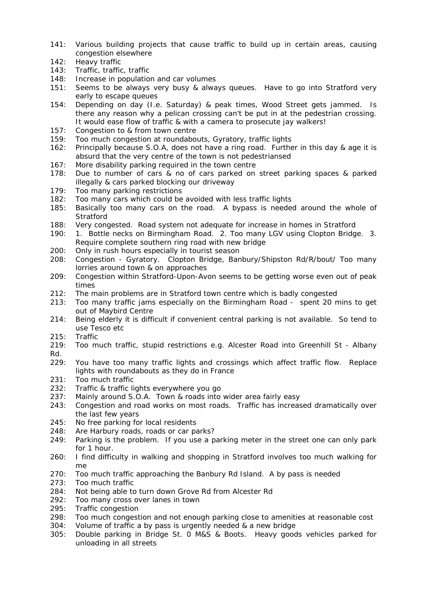- 141: Various building projects that cause traffic to build up in certain areas, causing congestion elsewhere
- 142: Heavy traffic
- 143: Traffic, traffic, traffic
- 148: Increase in population and car volumes
- 151: Seems to be always very busy & always queues. Have to go into Stratford very early to escape queues
- 154: Depending on day (I.e. Saturday) & peak times, Wood Street gets jammed. Is there any reason why a pelican crossing can't be put in at the pedestrian crossing. It would ease flow of traffic & with a camera to prosecute jay walkers!
- 157: Congestion to & from town centre
- 159: Too much congestion at roundabouts, Gyratory, traffic lights
- 162: Principally because S.O.A, does not have a ring road. Further in this day & age it is absurd that the very centre of the town is not pedestriansed
- 167: More disability parking required in the town centre
- 178: Due to number of cars & no of cars parked on street parking spaces & parked illegally & cars parked blocking our driveway
- 179: Too many parking restrictions
- 182: Too many cars which could be avoided with less traffic lights
- 185: Basically too many cars on the road. A bypass is needed around the whole of **Stratford**
- 188: Very congested. Road system not adequate for increase in homes in Stratford
- 190: 1. Bottle necks on Birmingham Road. 2. Too many LGV using Clopton Bridge. 3. Require complete southern ring road with new bridge
- 200: Only in rush hours especially in tourist season
- 208: Congestion Gyratory. Clopton Bridge, Banbury/Shipston Rd/R/bout/ Too many lorries around town & on approaches
- 209: Congestion within Stratford-Upon-Avon seems to be getting worse even out of peak times
- 212: The main problems are in Stratford town centre which is badly congested
- 213: Too many traffic jams especially on the Birmingham Road spent 20 mins to get out of Maybird Centre
- 214: Being elderly it is difficult if convenient central parking is not available. So tend to use Tesco etc
- 215: Traffic
- 219: Too much traffic, stupid restrictions e.g. Alcester Road into Greenhill St Albany Rd.
- 229: You have too many traffic lights and crossings which affect traffic flow. Replace lights with roundabouts as they do in France
- 231: Too much traffic
- 232: Traffic & traffic lights everywhere you go
- 237: Mainly around S.O.A. Town & roads into wider area fairly easy
- 243: Congestion and road works on most roads. Traffic has increased dramatically over the last few years
- 245: No free parking for local residents
- 248: Are Harbury roads, roads or car parks?
- 249: Parking is the problem. If you use a parking meter in the street one can only park for 1 hour.
- 260: I find difficulty in walking and shopping in Stratford involves too much walking for me
- 270: Too much traffic approaching the Banbury Rd Island. A by pass is needed
- 273: Too much traffic
- 284: Not being able to turn down Grove Rd from Alcester Rd
- 292: Too many cross over lanes in town
- 295: Traffic congestion
- 298: Too much congestion and not enough parking close to amenities at reasonable cost
- 304: Volume of traffic a by pass is urgently needed & a new bridge
- 305: Double parking in Bridge St. 0 M&S & Boots. Heavy goods vehicles parked for unloading in all streets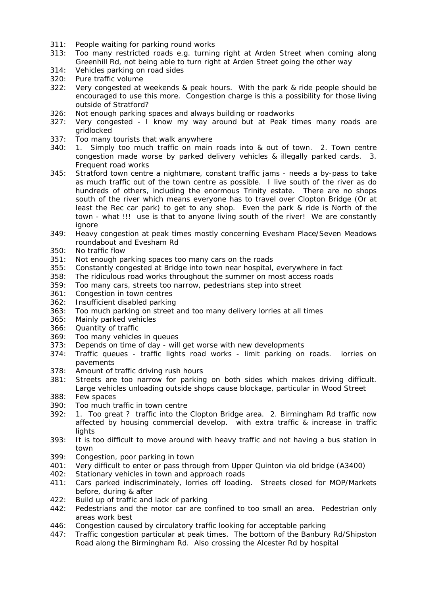- 311: People waiting for parking round works
- 313: Too many restricted roads e.g. turning right at Arden Street when coming along Greenhill Rd, not being able to turn right at Arden Street going the other way
- 314: Vehicles parking on road sides
- 320: Pure traffic volume
- 322: Very congested at weekends & peak hours. With the park & ride people should be encouraged to use this more. Congestion charge is this a possibility for those living outside of Stratford?
- 326: Not enough parking spaces and always building or roadworks
- 327: Very congested I know my way around but at Peak times many roads are gridlocked
- 337: Too many tourists that walk anywhere
- 340: 1. Simply too much traffic on main roads into & out of town. 2. Town centre congestion made worse by parked delivery vehicles & illegally parked cards. 3. Frequent road works
- 345: Stratford town centre a nightmare, constant traffic jams needs a by-pass to take as much traffic out of the town centre as possible. I live south of the river as do hundreds of others, including the enormous Trinity estate. There are no shops south of the river which means everyone has to travel over Clopton Bridge (Or at least the Rec car park) to get to any shop. Even the park & ride is North of the town - what !!! use is that to anyone living south of the river! We are constantly ignore
- 349: Heavy congestion at peak times mostly concerning Evesham Place/Seven Meadows roundabout and Evesham Rd
- 350: No traffic flow
- 351: Not enough parking spaces too many cars on the roads
- 355: Constantly congested at Bridge into town near hospital, everywhere in fact
- 358: The ridiculous road works throughout the summer on most access roads
- 359: Too many cars, streets too narrow, pedestrians step into street
- 361: Congestion in town centres
- 362: Insufficient disabled parking
- 363: Too much parking on street and too many delivery lorries at all times
- 365: Mainly parked vehicles
- 366: Quantity of traffic
- 369: Too many vehicles in queues
- 373: Depends on time of day will get worse with new developments
- 374: Traffic queues traffic lights road works limit parking on roads. lorries on pavements
- 378: Amount of traffic driving rush hours
- 381: Streets are too narrow for parking on both sides which makes driving difficult. Large vehicles unloading outside shops cause blockage, particular in Wood Street
- 388: Few spaces
- 390: Too much traffic in town centre
- 392: 1. Too great ? traffic into the Clopton Bridge area. 2. Birmingham Rd traffic now affected by housing commercial develop. with extra traffic & increase in traffic **lights**
- 393: It is too difficult to move around with heavy traffic and not having a bus station in town
- 399: Congestion, poor parking in town
- 401: Very difficult to enter or pass through from Upper Quinton via old bridge (A3400)
- 402: Stationary vehicles in town and approach roads
- 411: Cars parked indiscriminately, lorries off loading. Streets closed for MOP/Markets before, during & after
- 422: Build up of traffic and lack of parking
- 442: Pedestrians and the motor car are confined to too small an area. Pedestrian only areas work best
- 446: Congestion caused by circulatory traffic looking for acceptable parking
- 447: Traffic congestion particular at peak times. The bottom of the Banbury Rd/Shipston Road along the Birmingham Rd. Also crossing the Alcester Rd by hospital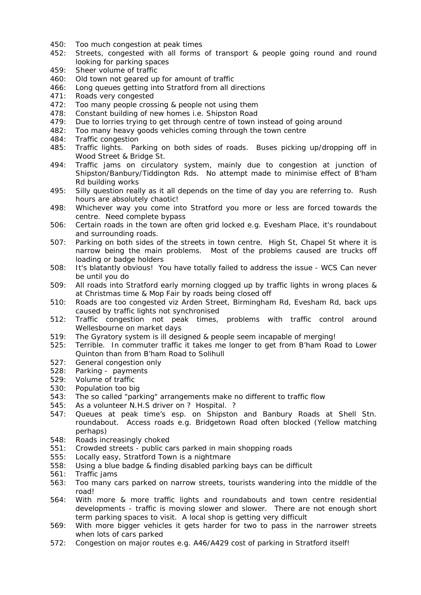- 450: Too much congestion at peak times
- 452: Streets, congested with all forms of transport & people going round and round looking for parking spaces
- 459: Sheer volume of traffic
- 460: Old town not geared up for amount of traffic
- 466: Long queues getting into Stratford from all directions
- 471: Roads very congested
- 472: Too many people crossing & people not using them
- 478: Constant building of new homes i.e. Shipston Road
- 479: Due to lorries trying to get through centre of town instead of going around
- 482: Too many heavy goods vehicles coming through the town centre
- 484: Traffic congestion
- 485: Traffic lights. Parking on both sides of roads. Buses picking up/dropping off in Wood Street & Bridge St.
- 494: Traffic jams on circulatory system, mainly due to congestion at junction of Shipston/Banbury/Tiddington Rds. No attempt made to minimise effect of B'ham Rd building works
- 495: Silly question really as it all depends on the time of day you are referring to. Rush hours are absolutely chaotic!
- 498: Whichever way you come into Stratford you more or less are forced towards the centre. Need complete bypass
- 506: Certain roads in the town are often grid locked e.g. Evesham Place, it's roundabout and surrounding roads.
- 507: Parking on both sides of the streets in town centre. High St, Chapel St where it is narrow being the main problems. Most of the problems caused are trucks off loading or badge holders
- 508: It's blatantly obvious! You have totally failed to address the issue WCS Can never be until you do
- 509: All roads into Stratford early morning clogged up by traffic lights in wrong places & at Christmas time & Mop Fair by roads being closed off
- 510: Roads are too congested viz Arden Street, Birmingham Rd, Evesham Rd, back ups caused by traffic lights not synchronised
- 512: Traffic congestion not peak times, problems with traffic control around Wellesbourne on market days
- 519: The Gyratory system is ill designed & people seem incapable of merging!
- 525: Terrible. In commuter traffic it takes me longer to get from B'ham Road to Lower Quinton than from B'ham Road to Solihull
- 527: General congestion only
- 528: Parking payments
- 529: Volume of traffic
- 530: Population too big
- 543: The so called "parking" arrangements make no different to traffic flow
- 545: As a volunteer N.H.S driver on ? Hospital. ?
- 547: Queues at peak time's esp. on Shipston and Banbury Roads at Shell Stn. roundabout. Access roads e.g. Bridgetown Road often blocked (Yellow matching perhaps)
- 548: Roads increasingly choked
- 551: Crowded streets public cars parked in main shopping roads
- 555: Locally easy, Stratford Town is a nightmare
- 558: Using a blue badge & finding disabled parking bays can be difficult
- 561: Traffic jams
- 563: Too many cars parked on narrow streets, tourists wandering into the middle of the road!
- 564: With more & more traffic lights and roundabouts and town centre residential developments - traffic is moving slower and slower. There are not enough short term parking spaces to visit. A local shop is getting very difficult
- 569: With more bigger vehicles it gets harder for two to pass in the narrower streets when lots of cars parked
- 572: Congestion on major routes e.g. A46/A429 cost of parking in Stratford itself!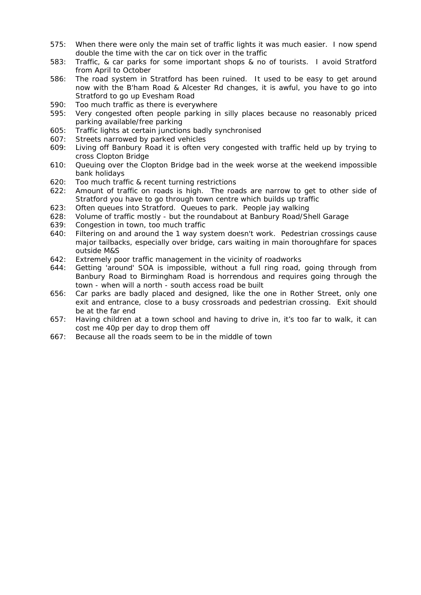- 575: When there were only the main set of traffic lights it was much easier. I now spend double the time with the car on tick over in the traffic
- 583: Traffic, & car parks for some important shops & no of tourists. I avoid Stratford from April to October
- 586: The road system in Stratford has been ruined. It used to be easy to get around now with the B'ham Road & Alcester Rd changes, it is awful, you have to go into Stratford to go up Evesham Road
- 590: Too much traffic as there is everywhere
- 595: Very congested often people parking in silly places because no reasonably priced parking available/free parking
- 605: Traffic lights at certain junctions badly synchronised
- 607: Streets narrowed by parked vehicles
- 609: Living off Banbury Road it is often very congested with traffic held up by trying to cross Clopton Bridge
- 610: Queuing over the Clopton Bridge bad in the week worse at the weekend impossible bank holidays
- 620: Too much traffic & recent turning restrictions
- 622: Amount of traffic on roads is high. The roads are narrow to get to other side of Stratford you have to go through town centre which builds up traffic
- 623: Often queues into Stratford. Queues to park. People jay walking
- 628: Volume of traffic mostly but the roundabout at Banbury Road/Shell Garage
- 639: Congestion in town, too much traffic
- 640: Filtering on and around the 1 way system doesn't work. Pedestrian crossings cause major tailbacks, especially over bridge, cars waiting in main thoroughfare for spaces outside M&S
- 642: Extremely poor traffic management in the vicinity of roadworks
- 644: Getting 'around' SOA is impossible, without a full ring road, going through from Banbury Road to Birmingham Road is horrendous and requires going through the town - when will a north - south access road be built
- 656: Car parks are badly placed and designed, like the one in Rother Street, only one exit and entrance, close to a busy crossroads and pedestrian crossing. Exit should be at the far end
- 657: Having children at a town school and having to drive in, it's too far to walk, it can cost me 40p per day to drop them off
- 667: Because all the roads seem to be in the middle of town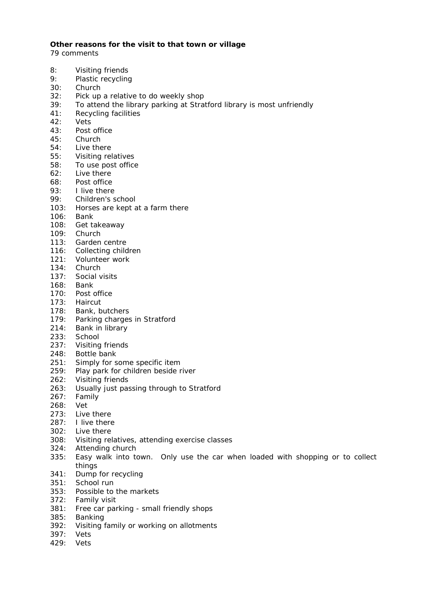#### **Other reasons for the visit to that town or village**

- 8: Visiting friends
- 9: Plastic recycling
- 30: Church
- 32: Pick up a relative to do weekly shop
- 39: To attend the library parking at Stratford library is most unfriendly
- 41: Recycling facilities
- 42: Vets
- 43: Post office
- 45: Church
- 54: Live there
- 55: Visiting relatives
- 58: To use post office
- 62: Live there
- 68: Post office
- 93: I live there
- 99: Children's school
- 103: Horses are kept at a farm there
- 106: Bank
- 108: Get takeaway
- 109: Church
- 113: Garden centre
- 116: Collecting children
- 121: Volunteer work
- 134: Church
- 137: Social visits
- 168: Bank
- 170: Post office
- 173: Haircut
- 178: Bank, butchers
- 179: Parking charges in Stratford
- 214: Bank in library
- 233: School
- 237: Visiting friends
- 248: Bottle bank
- 251: Simply for some specific item
- 259: Play park for children beside river
- 262: Visiting friends
- 263: Usually just passing through to Stratford
- 267: Family
- 268: Vet
- 273: Live there
- 287: I live there
- 302: Live there
- 308: Visiting relatives, attending exercise classes
- 324: Attending church
- 335: Easy walk into town. Only use the car when loaded with shopping or to collect things
- 341: Dump for recycling
- 351: School run
- 353: Possible to the markets
- 372: Family visit
- 381: Free car parking small friendly shops
- 385: Banking
- 392: Visiting family or working on allotments
- 397: Vets
- 429: Vets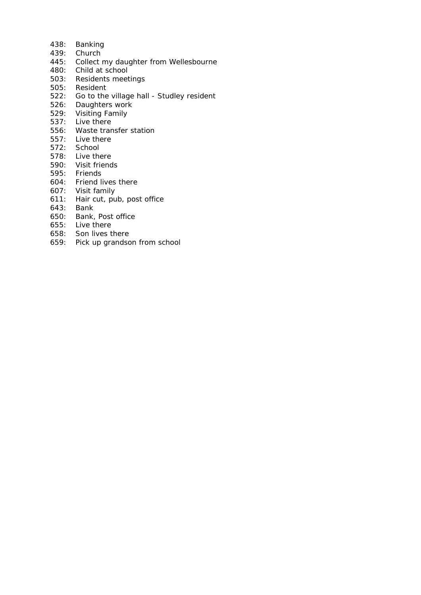- 438: Banking
- 439: Church
- 445: Collect my daughter from Wellesbourne
- 480: Child at school
- 503: Residents meetings
- 505: Resident
- 522: Go to the village hall Studley resident
- 526: Daughters work
- 529: Visiting Family
- 537: Live there
- 556: Waste transfer station
- 557: Live there
- 572: School
- 578: Live there
- 590: Visit friends
- 595: Friends
- 604: Friend lives there
- 607: Visit family
- 611: Hair cut, pub, post office
- 643: Bank
- 650: Bank, Post office
- 655: Live there
- 658: Son lives there
- 659: Pick up grandson from school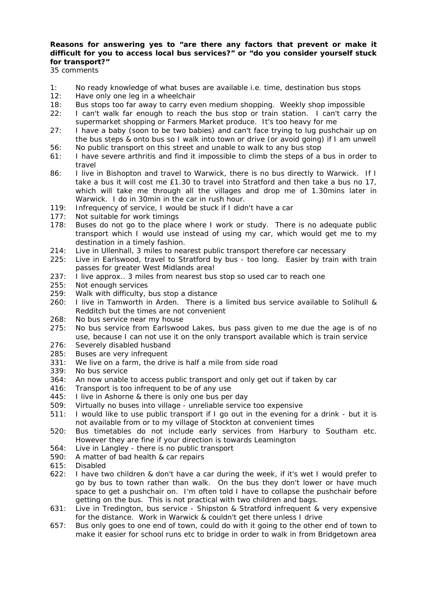# **Reasons for answering yes to "are there any factors that prevent or make it difficult for you to access local bus services?" or "do you consider yourself stuck for transport?"**

- 1: No ready knowledge of what buses are available i.e. time, destination bus stops
- 12: Have only one leg in a wheelchair
- 18: Bus stops too far away to carry even medium shopping. Weekly shop impossible
- 22: I can't walk far enough to reach the bus stop or train station. I can't carry the supermarket shopping or Farmers Market produce. It's too heavy for me
- 27: I have a baby (soon to be two babies) and can't face trying to lug pushchair up on the bus steps & onto bus so I walk into town or drive (or avoid going) if I am unwell 56: No public transport on this street and unable to walk to any bus stop
- 61: I have severe arthritis and find it impossible to climb the steps of a bus in order to
- travel 86: I live in Bishopton and travel to Warwick, there is no bus directly to Warwick. If I take a bus it will cost me £1.30 to travel into Stratford and then take a bus no 17, which will take me through all the villages and drop me of 1.30mins later in Warwick. I do in 30min in the car in rush hour.
- 119: Infrequency of service, I would be stuck if I didn't have a car
- 177: Not suitable for work timings
- 178: Buses do not go to the place where I work or study. There is no adequate public transport which I would use instead of using my car, which would get me to my destination in a timely fashion.
- 214: Live in Ullenhall, 3 miles to nearest public transport therefore car necessary
- 225: Live in Earlswood, travel to Stratford by bus too long. Easier by train with train passes for greater West Midlands area!
- 237: I live approx.. 3 miles from nearest bus stop so used car to reach one
- 255: Not enough services
- 259: Walk with difficulty, bus stop a distance
- 260: I live in Tamworth in Arden. There is a limited bus service available to Solihull & Redditch but the times are not convenient
- 268: No bus service near my house
- 275: No bus service from Earlswood Lakes, bus pass given to me due the age is of no use, because I can not use it on the only transport available which is train service
- 276: Severely disabled husband
- 285: Buses are very infrequent
- 331: We live on a farm, the drive is half a mile from side road
- 339: No bus service
- 364: An now unable to access public transport and only get out if taken by car
- 416: Transport is too infrequent to be of any use
- 445: I live in Ashorne & there is only one bus per day
- 509: Virtually no buses into village unreliable service too expensive
- 511: I would like to use public transport if I go out in the evening for a drink but it is not available from or to my village of Stockton at convenient times
- 520: Bus timetables do not include early services from Harbury to Southam etc. However they are fine if your direction is towards Leamington
- 564: Live in Langley there is no public transport
- 590: A matter of bad health & car repairs
- 615: Disabled
- 622: I have two children & don't have a car during the week, if it's wet I would prefer to go by bus to town rather than walk. On the bus they don't lower or have much space to get a pushchair on. I'm often told I have to collapse the pushchair before getting on the bus. This is not practical with two children and bags.
- 631: Live in Tredington, bus service Shipston & Stratford infrequent & very expensive for the distance. Work in Warwick & couldn't get there unless I drive
- 657: Bus only goes to one end of town, could do with it going to the other end of town to make it easier for school runs etc to bridge in order to walk in from Bridgetown area